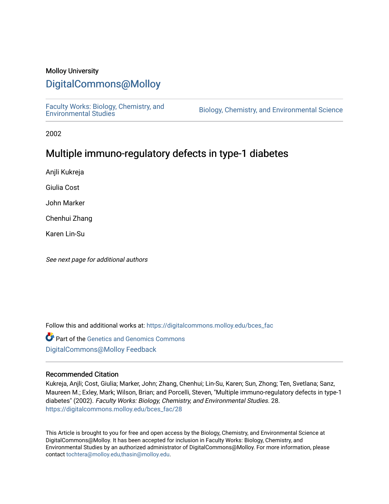# Molloy University

# [DigitalCommons@Molloy](https://digitalcommons.molloy.edu/)

[Faculty Works: Biology, Chemistry, and](https://digitalcommons.molloy.edu/bces_fac) 

Biology, Chemistry, and Environmental Science

2002

# Multiple immuno-regulatory defects in type-1 diabetes

Anjli Kukreja

Giulia Cost

John Marker

Chenhui Zhang

Karen Lin-Su

See next page for additional authors

Follow this and additional works at: [https://digitalcommons.molloy.edu/bces\\_fac](https://digitalcommons.molloy.edu/bces_fac?utm_source=digitalcommons.molloy.edu%2Fbces_fac%2F28&utm_medium=PDF&utm_campaign=PDFCoverPages)

Part of the [Genetics and Genomics Commons](https://network.bepress.com/hgg/discipline/27?utm_source=digitalcommons.molloy.edu%2Fbces_fac%2F28&utm_medium=PDF&utm_campaign=PDFCoverPages) [DigitalCommons@Molloy Feedback](https://molloy.libwizard.com/f/dcfeedback)

## Recommended Citation

Kukreja, Anjli; Cost, Giulia; Marker, John; Zhang, Chenhui; Lin-Su, Karen; Sun, Zhong; Ten, Svetlana; Sanz, Maureen M.; Exley, Mark; Wilson, Brian; and Porcelli, Steven, "Multiple immuno-regulatory defects in type-1 diabetes" (2002). Faculty Works: Biology, Chemistry, and Environmental Studies. 28. [https://digitalcommons.molloy.edu/bces\\_fac/28](https://digitalcommons.molloy.edu/bces_fac/28?utm_source=digitalcommons.molloy.edu%2Fbces_fac%2F28&utm_medium=PDF&utm_campaign=PDFCoverPages) 

This Article is brought to you for free and open access by the Biology, Chemistry, and Environmental Science at DigitalCommons@Molloy. It has been accepted for inclusion in Faculty Works: Biology, Chemistry, and Environmental Studies by an authorized administrator of DigitalCommons@Molloy. For more information, please contact [tochtera@molloy.edu,thasin@molloy.edu.](mailto:tochtera@molloy.edu,thasin@molloy.edu)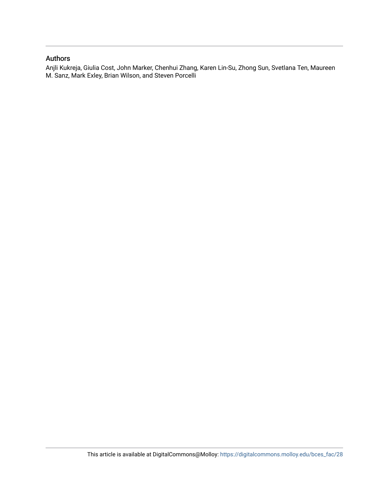# Authors

Anjli Kukreja, Giulia Cost, John Marker, Chenhui Zhang, Karen Lin-Su, Zhong Sun, Svetlana Ten, Maureen M. Sanz, Mark Exley, Brian Wilson, and Steven Porcelli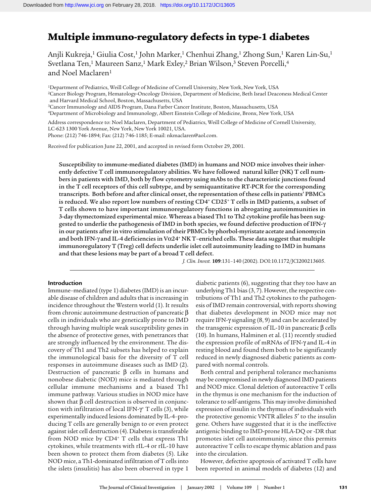# **Multiple immuno-regulatory defects in type-1 diabetes**

Anjli Kukreja,<sup>1</sup> Giulia Cost,<sup>1</sup> John Marker,<sup>1</sup> Chenhui Zhang,<sup>1</sup> Zhong Sun,<sup>1</sup> Karen Lin-Su,<sup>1</sup> Svetlana Ten,<sup>1</sup> Maureen Sanz,<sup>1</sup> Mark Exley,<sup>2</sup> Brian Wilson,<sup>3</sup> Steven Porcelli,<sup>4</sup> and Noel Maclaren<sup>1</sup>

1Department of Pediatrics, Weill College of Medicine of Cornell University, New York, New York, USA 2Cancer Biology Program, Hematology-Oncology Division, Department of Medicine, Beth Israel Deaconess Medical Center and Harvard Medical School, Boston, Massachusetts, USA

3Cancer Immunology and AIDS Program, Dana Farber Cancer Institute, Boston, Massachusetts, USA

4Department of Microbiology and Immunology, Albert Einstein College of Medicine, Bronx, New York, USA

Address correspondence to: Noel Maclaren, Department of Pediatrics, Weill College of Medicine of Cornell University, LC-623 1300 York Avenue, New York, New York 10021, USA.

Phone: (212) 746-1894; Fax: (212) 746-1185; E-mail: nkmaclaren@aol.com.

Received for publication June 22, 2001, and accepted in revised form October 29, 2001.

Susceptibility to immune-mediated diabetes (IMD) in humans and NOD mice involves their inherently defective T cell immunoregulatory abilities. We have followed natural killer (NK) T cell numbers in patients with IMD, both by flow cytometry using mAbs to the characteristic junctions found in the T cell receptors of this cell subtype, and by semiquantitative RT-PCR for the corresponding transcripts. Both before and after clinical onset, the representation of these cells in patients' PBMCs is reduced. We also report low numbers of resting CD4<sup>+</sup> CD25<sup>+</sup> T cells in IMD patients, a subset of T cells shown to have important immunoregulatory functions in abrogating autoimmunities in 3-day thymectomized experimental mice. Whereas a biased Th1 to Th2 cytokine profile has been suggested to underlie the pathogenesis of IMD in both species, we found defective production of IFN-γ in our patients after in vitro stimulation of their PBMCs by phorbol-myristate acetate and ionomycin and both IFN-γ and IL-4 deficiencies in Vα24+ NK T–enriched cells. These data suggest that multiple immunoregulatory T (Treg) cell defects underlie islet cell autoimmunity leading to IMD in humans and that these lesions may be part of a broad T cell defect.

*J. Clin. Invest.* **109**:131–140 (2002). DOI:10.1172/JCI200213605.

### **Introduction**

Immune–mediated (type 1) diabetes (IMD) is an incurable disease of children and adults that is increasing in incidence throughout the Western world (1). It results from chronic autoimmune destruction of pancreatic β cells in individuals who are genetically prone to IMD through having multiple weak susceptibility genes in the absence of protective genes, with penetrances that are strongly influenced by the environment. The discovery of Th1 and Th2 subsets has helped to explain the immunological basis for the diversity of T cell responses in autoimmune diseases such as IMD (2). Destruction of pancreatic β cells in humans and nonobese diabetic (NOD) mice is mediated through cellular immune mechanisms and a biased Th1 immune pathway. Various studies in NOD mice have shown that β cell destruction is observed in conjunction with infiltration of local IFN- $\gamma$ <sup>+</sup> T cells (3), while experimentally induced lesions dominated by IL-4–producing T cells are generally benign to or even protect against islet cell destruction (4). Diabetes is transferable from NOD mice by CD4+ T cells that express Th1 cytokines, while treatments with rIL-4 or rIL-10 have been shown to protect them from diabetes (5). Like NOD mice, a Th1-dominated infiltration of T cells into the islets (insulitis) has also been observed in type 1

diabetic patients (6), suggesting that they too have an underlying Th1 bias (3, 7). However, the respective contributions of Th1 and Th2 cytokines to the pathogenesis of IMD remain controversial, with reports showing that diabetes development in NOD mice may not require IFN-γ signaling (8, 9) and can be accelerated by the transgenic expression of IL-10 in pancreatic β cells (10). In humans, Halminen et al. (11) recently studied the expression profile of mRNAs of IFN-γ and IL-4 in resting blood and found them both to be significantly reduced in newly diagnosed diabetic patients as compared with normal controls.

Both central and peripheral tolerance mechanisms may be compromised in newly diagnosed IMD patients and NOD mice. Clonal deletion of autoreactive T cells in the thymus is one mechanism for the induction of tolerance to self-antigens. This may involve diminished expression of insulin in the thymus of individuals with the protective genomic VNTR alleles 5′ to the insulin gene. Others have suggested that it is the ineffective antigenic binding to IMD-prone HLA-DQ or -DR that promotes islet cell autoimmunity, since this permits autoreactive T cells to escape thymic ablation and pass into the circulation.

However, defective apoptosis of activated T cells have been reported in animal models of diabetes (12) and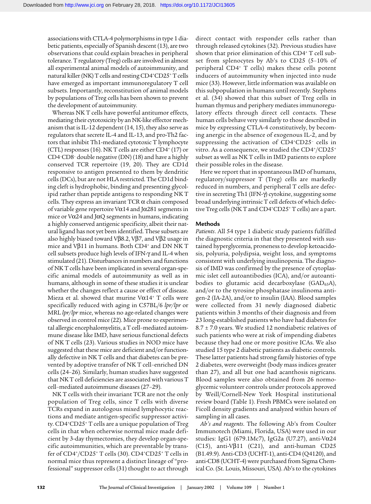associations with CTLA-4 polymorphisms in type 1 diabetic patients, especially of Spanish descent (13), are two observations that could explain breaches in peripheral tolerance. T regulatory (Treg) cells are involved in almost all experimental animal models of autoimmunity, and natural killer (NK) T cells and resting CD4+CD25+ T cells have emerged as important immunoregulatory T cell subsets. Importantly, reconstitution of animal models by populations of Treg cells has been shown to prevent the development of autoimmunity.

Whereas NK T cells have powerful antitumor effects, mediating their cytotoxicity by an NK-like effector mechanism that is IL-12 dependent (14, 15), they also serve as regulators that secrete IL-4 and IL-13, and pro-Th2 factors that inhibit Th1-mediated cytotoxic T lymphocyte (CTL) responses (16). NK T cells are either  $CD4^+(17)$  or CD4–CD8– double negative (DN) (18) and have a highly conserved TCR repertoire (19, 20). They are CD1d responsive to antigen presented to them by dendritic cells (DCs), but are not HLA restricted. The CD1d binding cleft is hydrophobic, binding and presenting glycolipid rather than peptide antigens to responding NK T cells. They express an invariant TCR  $\alpha$  chain composed of variable gene repertoire Vα14 and Jα281 segments in mice or V $\alpha$ 24 and J $\alpha$ Q segments in humans, indicating a highly conserved antigenic specificity, albeit their natural ligand has not yet been identified. These subsets are also highly biased toward Vβ8.2, Vβ7, and Vβ2 usage in mice and Vβ11 in humans. Both CD4<sup>+</sup> and DN NK T cell subsets produce high levels of IFN-γ and IL-4 when stimulated (21). Disturbances in numbers and functions of NK T cells have been implicated in several organ-specific animal models of autoimmunity as well as in humans, although in some of these studies it is unclear whether the changes reflect a cause or effect of disease. Mieza et al. showed that murine V $\alpha$ 14<sup>+</sup> T cells were specifically reduced with aging in C57BL/6 *lpr/lpr* or MRL *lpr/lpr* mice, whereas no age-related changes were observed in control mice (22). Mice prone to experimental allergic encephalomyelitis, a T cell–mediated autoimmune disease like IMD, have serious functional defects of NK T cells (23). Various studies in NOD mice have suggested that these mice are deficient and/or functionally defective in NK T cells and that diabetes can be prevented by adoptive transfer of NK T cell–enriched DN cells (24–26). Similarly, human studies have suggested that NK T cell deficiencies are associated with various T cell–mediated autoimmune diseases (27–29).

NK T cells with their invariant TCR are not the only population of Treg cells, since T cells with diverse TCRs expand in autologous mixed lymphocytic reactions and mediate antigen-specific suppressor activity. CD4+CD25+ T cells are a unique population of Treg cells in that when otherwise normal mice made deficient by 3-day thymectomies, they develop organ-specific autoimmunities, which are preventable by transfer of  $CD4^{\dagger}/CD25^{\dagger}$  T cells (30).  $CD4^{\dagger}CD25^{\dagger}$  T cells in normal mice thus represent a distinct lineage of "professional" suppressor cells (31) thought to act through

direct contact with responder cells rather than through released cytokines (32). Previous studies have shown that prior elimination of this CD4+ T cell subset from splenocytes by Ab's to CD25 (5–10% of peripheral  $CD4^+$  T cells) makes these cells potent inducers of autoimmunity when injected into nude mice (33). However, little information was available on this subpopulation in humans until recently. Stephens et al. (34) showed that this subset of Treg cells in human thymus and periphery mediates immunoregulatory effects through direct cell contacts. These human cells behave very similarly to those described in mice by expressing CTLA-4 constitutively, by becoming anergic in the absence of exogenous IL-2, and by suppressing the activation of CD4+CD25– cells in vitro. As a consequence, we studied the CD4+/CD25+ subset as well as NK T cells in IMD patients to explore their possible roles in the disease.

Here we report that in spontaneous IMD of humans, regulatory/suppressor T (Treg) cells are markedly reduced in numbers, and peripheral T cells are defective in secreting Th1 (IFN-γ) cytokine, suggesting some broad underlying intrinsic T cell defects of which defective Treg cells (NK T and CD4<sup>+</sup>CD25<sup>+</sup> T cells) are a part.

### **Methods**

*Patients*. All 54 type 1 diabetic study patients fulfilled the diagnostic criteria in that they presented with sustained hyperglycemia, proneness to develop ketoacidosis, polyuria, polydipsia, weight loss, and symptoms consistent with underlying insulinopenia. The diagnosis of IMD was confirmed by the presence of cytoplasmic islet cell autoantibodies (ICA), and/or autoantibodies to glutamic acid decarboxylase (GAD $_{65}$ A), and/or to the tyrosine phosphatase insulinoma antigen-2 (IA-2A), and/or to insulin (IAA). Blood samples were collected from 31 newly diagnosed diabetic patients within 3 months of their diagnosis and from 23 long-established patients who have had diabetes for 8.7 ± 7.0 years. We studied 12 nondiabetic relatives of such patients who were at risk of impending diabetes because they had one or more positive ICAs. We also studied 15 type 2 diabetic patients as diabetic controls. These latter patients had strong family histories of type 2 diabetes, were overweight (body mass indices greater than 27), and all but one had acanthosis nigricans. Blood samples were also obtained from 26 normoglycemic volunteer controls under protocols approved by Weill/Cornell-New York Hospital institutional review board (Table 1). Fresh PBMCs were isolated on Ficoll density gradients and analyzed within hours of sampling in all cases.

*Ab's and reagents*. The following Ab's from Coulter Immunotech (Miami, Florida, USA) were used in our studies: IgG1 (679.1Mc7), IgG2a (U7.27), anti-Vα24 (C15), anti-V $\beta$ 11 (C21), and anti-human CD25 (B1.49.9). Anti-CD3 (UCHT-1), anti-CD4 (Q4120), and anti-CD8 (UCHT-4) were purchased from Sigma Chemical Co. (St. Louis, Missouri, USA). Ab's to the cytokines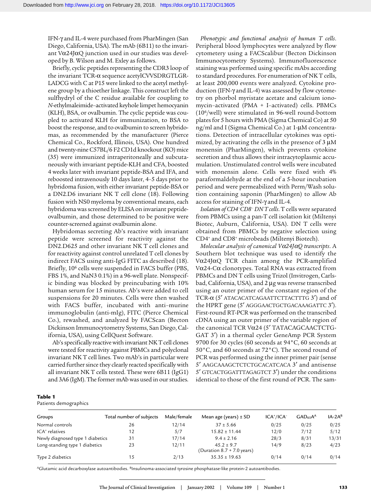IFN-γ and IL-4 were purchased from PharMingen (San Diego, California, USA). The mAb (6B11) to the invariant V $\alpha$ 24J $\alpha$ Q junction used in our studies was developed by B. Wilson and M. Exley as follows.

Briefly, cyclic peptides representing the CDR3 loop of the invariant TCR-α sequence acetylCVVSDRGTLGR-LADCG with C at P15 were linked to the acetyl methylene group by a thioether linkage. This construct left the sulfhydryl of the C residue available for coupling to *N*-ethylmaleimide–activated keyhole limpet hemocyanin (KLH), BSA, or ovalbumin. The cyclic peptide was coupled to activated KLH for immunization, to BSA to boost the response, and to ovalbumin to screen hybridomas, as recommended by the manufacturer (Pierce Chemical Co., Rockford, Illinois, USA). One hundred and twenty-nine C57BL/6 F2 CD1d knockout (KO) mice (35) were immunized intraperitoneally and subcutaneously with invariant peptide-KLH and CFA, boosted 4 weeks later with invariant peptide-BSA and IFA, and reboosted intravenously 10 days later, 4–5 days prior to hybridoma fusion, with either invariant peptide-BSA or a DN2.D6 invariant NK T cell clone (18). Following fusion with NS0 myeloma by conventional means, each hybridoma was screened by ELISA on invariant peptideovalbumin, and those determined to be positive were counter-screened against ovalbumin alone.

Hybridomas secreting Ab's reactive with invariant peptide were screened for reactivity against the DN2.D625 and other invariant NK T cell clones and for reactivity against control unrelated T cell clones by indirect FACS using anti-IgG FITC as described (18). Briefly, 106 cells were suspended in FACS buffer (PBS, FBS 1%, and NaN3 0.1%) in a 96-well plate. Nonspecific binding was blocked by preincubating with 10% human serum for 15 minutes. Ab's were added to cell suspensions for 20 minutes. Cells were then washed with FACS buffer, incubated with anti–murine immunoglobulin (anti-mIg), FITC (Pierce Chemical Co.), rewashed, and analyzed by FACScan (Becton Dickinson Immunocytometry Systems, San Diego, California, USA), using CellQuest Software.

Ab's specifically reactive with invariant NK T cell clones were tested for reactivity against PBMCs and polyclonal invariant NK T cell lines. Two mAb's in particular were carried further since they clearly reacted specifically with all invariant NK T cells tested. These were 6B11 (IgG1) and 3A6 (IgM). The former mAb was used in our studies.

*Phenotypic and functional analysis of human T cells*. Peripheral blood lymphocytes were analyzed by flow cytometery using a FACScalibur (Becton Dickinson Immunocytometry Systems). Immunofluorescence staining was performed using specific mAbs according to standard procedures. For enumeration of NK T cells, at least 200,000 events were analyzed. Cytokine production (IFN-γ and IL-4) was assessed by flow cytometry on phorbol myristate acetate and calcium ionomycin–activated (PMA + I–activated) cells. PBMCs (106/well) were stimulated in 96-well round-bottom plates for 5 hours with PMA (Sigma Chemical Co) at 50 ng/ml and I (Sigma Chemical Co.) at 1-µM concentrations. Detection of intracellular cytokines was optimized, by activating the cells in the presence of 3 µM monensin (PharMingen), which prevents cytokine secretion and thus allows their intracytoplasmic accumulation. Unstimulated control wells were incubated with monensin alone. Cells were fixed with 4% paraformaldehyde at the end of a 5-hour incubation period and were permeabilized with Perm/Wash solution containing saponin (PharMingen) to allow Ab access for staining of IFN-γ and IL-4.

*Isolation of CD4–CD8– DN T cells*. T cells were separated from PBMCs using a pan-T cell isolation kit (Miltenyi Biotec, Auburn, California, USA). DN T cells were obtained from PBMCs by negative selection using CD4+ and CD8+ microbeads (Miltenyi Biotech).

*Molecular analysis of canonical V*α*24J*α*Q transcripts*. A Southern blot technique was used to identify the Vα24JαQ TCR chain among the PCR-amplified Vα24-Cα clonotypes. Total RNA was extracted from PBMCs and DN T cells using Trizol (Invitrogen, Carlsbad, California, USA), and 2 µg was reverse transcribed using an outer primer of the constant region of the TCR-α (5′ ATACACATCAGAATTCTTACTTTG 3′) and of the HPRT gene (5′ AGGGAACTGCTGACAAAGATTC 3′). First-round RT-PCR was performed on the transcribed cDNA using an outer primer of the variable region of the canonical TCR Vα24 (5′ TATACAGCAACTCTG-GAT 3′) in a thermal cycler GeneAmp PCR System 9700 for 30 cycles (60 seconds at 94°C, 60 seconds at 50°C, and 60 seconds at 72°C). The second round of PCR was performed using the inner primer pair (sense 5′ AAGCAAAGCTCTCTGCACATCACA 3′ and antisense 5′ GTCACTGGATTTAGAGTCT 3′) under the conditions identical to those of the first round of PCR. The sam-

#### **Table 1**

Patients demographics

| Groups                           | Total number of subjects | Male/female | Mean age (years) $\pm$ SD                    | $ICA+/ICA-$ | $GAD_{65}A^A$ | $IA-2AB$ |
|----------------------------------|--------------------------|-------------|----------------------------------------------|-------------|---------------|----------|
|                                  |                          |             |                                              |             |               |          |
| Normal controls                  | 26                       | 12/14       | $37 \pm 5.66$                                | 0/25        | 0/25          | 0/25     |
| ICA <sup>+</sup> relatives       | 12                       | 5/7         | $15.82 \pm 11.44$                            | 12/0        | 7/12          | 5/12     |
| Newly diagnosed type 1 diabetics | 31                       | 17/14       | $9.4 \pm 2.16$                               | 28/3        | 8/31          | 13/31    |
| Long-standing type 1 diabetics   | 23                       | 12/11       | $45.2 \pm 9.7$<br>(Duration 8.7 + 7.0 years) | 14/9        | 8/23          | 4/23     |
| Type 2 diabetics                 | 15                       | 2/13        | $35.35 \pm 19.63$                            | 0/14        | 0/14          | 0/14     |

AGlutamic acid decarboxylase autoantibodies. BInsulinoma-associated tyrosine phosphatase-like protein-2 autoantibodies.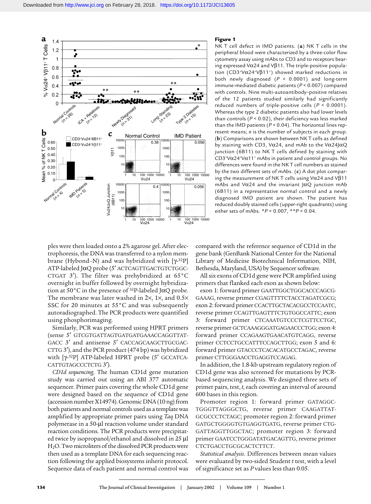

#### **Figure 1**

NK T cell defect in IMD patients. (**a**) NK T cells in the peripheral blood were characterized by a three-color flow cytometry assay using mAbs to CD3 and to receptors bearing expressed Vα24 and Vβ11. The triple-positive population (CD3+Vα24+Vβ11+) showed marked reductions in both newly diagnosed (*P* < 0.0001) and long-term immune-mediated diabetic patients (*P* < 0.007) compared with controls. Nine multi-autoantibody–positive relatives of the 12 patients studied similarly had significantly reduced numbers of triple-positive cells (*P* < 0.0001). Whereas the type 2 diabetic patients also had lower levels than controls (*P* < 0.02), their deficiency was less marked than the IMD patients (*P* < 0.04). The horizontal lines represent means; *n* is the number of subjects in each group. (**b**) Comparisons are shown between NK T cells as defined by staining with CD3, V $\alpha$ 24, and mAb to the V $\alpha$ 24| $\alpha$ Q junction (6B11) to NK T cells defined by staining with CD3+Vα24+Vα11+ mAbs in patient and control groups. No differences were found in the NK T cell numbers as stained by the two different sets of mAbs. (**c**) A dot plot comparing the measurement of NK T cells using V $\alpha$ 24 and V $\beta$ 11 mAbs and Vα24 and the invariant  $|αQ|$  junction mAb (6B11) in a representative normal control and a newly diagnosed IMD patient are shown. The patient has reduced doubly stained cells (upper-right quadrants) using either sets of mAbs. \**P* < 0.007, \*\**P* < 0.04.

ples were then loaded onto a 2% agarose gel. After electrophoresis, the DNA was transferred to a nylon membrane (Hybond–N) and was hybridized with [γ-32P] ATP-labeled JαQ probe (5′ ACTCAGTTGACTGTCTGGC-CTGAT 3′). The filter was prehybridized at 65°C overnight in buffer followed by overnight hybridization at  $50^{\circ}$ C in the presence of  $32P$ -labeled J $\alpha$ Q probe. The membrane was later washed in 2×, 1×, and 0.5× SSC for 20 minutes at 55°C and was subsequently autoradiographed. The PCR products were quantified using phosphorimaging.

Similarly, PCR was performed using HPRT primers (sense 5′ GTCGTGATTAGTGATGATGAAACCAGGTTAT-GACC 3' and antisense 5' CACCAGCAAGCTTGCGAC-CTTG 3′), and the PCR product (474 bp) was hybridized with [γ-32P] ATP-labeled HPRT probe (5′ GCCATCA-CATTGTAGCCCTCTG 3′).

*CD1d sequencing*. The human CD1d gene mutation study was carried out using an ABI 377 automatic sequencer. Primer pairs covering the whole CD1d gene were designed based on the sequence of CD1d gene (accession number X14974). Genomic DNA (10 ng) from both patients and normal controls used as a template was amplified by appropriate primer pairs using *Taq* DNA polymerase in a 50-µl reaction volume under standard reaction conditions. The PCR products were precipitated twice by isopropanol/ethanol and dissolved in 25 µl H2O. Two microliters of the dissolved PCR products were then used as a template DNA for each sequencing reaction following the applied biosystems inherit protocol. Sequence data of each patient and normal control was

compared with the reference sequence of CD1d in the gene bank (GenBank National Center for the National Library of Medicine Biotechnical Information, NIH, Bethesda, Maryland, USA) by Sequencer software.

All six exons of CD1d gene were PCR amplified using primers that flanked each exon as shown below:

exon 1: forward primer GAATTGGCTGGCACCCAGCG-GAAAG, reverse primer CGAGTTTTCTACCTAGATCGCG; exon 2: forward primer CCACTTGCTACACGCCTCCAATC, reverse primer CCAGTTGAGTTTCTGTGGCCATTC; exon 3: forward primer CTCAAATGTCCCTCGTTCCTGC, reverse primer GCTCAAAGGGATGAGAACCCTGG; exon 4: forward primer CCAGAAGTGAACATGTCAGG, reverse primer CCTCCTGCCATTTCCAGCTTGG; exon 5 and 6: forward primer GTACCCTCACACATGCCTAGAC, reverse primer CTTGGGAACCTGAGGTCCAGAG.

In addition, the 1.8-kb upstream regulatory region of CD1d gene was also screened for mutations by PCRbased sequencing analysis. We designed three sets of primer pairs, test, *t,* each covering an interval of around 600 bases in this region.

Promoter region 1: forward primer GATAGGC-TGGGTTAGGGCTG, reverse primer CAAGATTAT-GCGCCCTCTAGC; promoter region 2: forward primer GATGCTGGGGTGTGAGGTGATG, reverse primer CTG-GATTAGGTTGGCTAC; promoter region 3: forward primer GAATCCTGGGATATGACAGTTG, reverse primer CTCTGACCTGCGCACTCTTCT.

*Statistical analysis*. Differences between mean values were evaluated by two-sided Student *t* test, with a level of significance set as *P* values less than 0.05.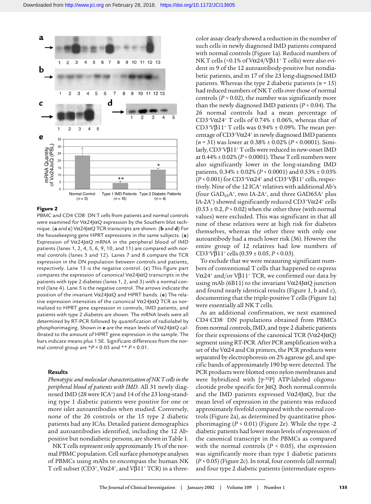

#### **Figure 2**

PBMC and CD4–CD8– DN T cells from patients and normal controls were examined for Vα24JαQ expression by the Southern blot technique. (**a** and **c**) Vα24JαQ TCR transcripts are shown. (**b** and **d**) For the housekeeping gene HPRT expressions in the same subjects. (**a**) Expression of V $\alpha$ 24| $\alpha$ Q mRNA in the peripheral blood of IMD patients (lanes 1, 2, 4, 5, 6, 9, 10, and 11) are compared with normal controls (lanes 3 and 12). Lanes 7 and 8 compare the TCR expression in the DN population between controls and patients, respectively. Lane 13 is the negative control. (**c**) This figure part compares the expression of canonical V $\alpha$ 24J $\alpha$ Q transcripts in the patients with type 2 diabetes (lanes 1, 2, and 3) with a normal control (lane 4). Lane 5 is the negative control. The arrows indicate the position of the invariant Vα24JαQ and HPRT bands. (**e**) The relative expression intensities of the canonical V $\alpha$ 24J $\alpha$ Q TCR as normalized to HPRT gene expression in controls, IMD patients, and patients with type 2 diabetes are shown. The mRNA levels were all determined by RT-PCR followed by quantification of radiolabel by phosphorimaging. Shown in **e** are the mean levels of Vα24JαQ calibrated to the amount of HPRT gene expression in the sample. The bars indicate means plus 1 SE. Significant differences from the normal control group are  $*P < 0.05$  and  $** P < 0.01$ .

## **Results**

*Phenotypic and molecular characterization of NK T cells in the peripheral blood of patients with IMD*. All 31 newly diagnosed IMD (28 were ICA<sup>+</sup>) and 14 of the 23 long-standing type 1 diabetic patients were positive for one or more islet autoantibodies when studied. Conversely, none of the 26 controls or the 15 type 2 diabetic patients had any ICAs. Detailed patient demographics and autoantibodies identified, including the 12 Abpositive but nondiabetic persons, are shown in Table 1.

NK T cells represent only approximately 1% of the normal PBMC population. Cell surface phenotype analyses of PBMCs using mAbs to encompass the human NK T cell subset ( $CD3^+$ , Vα24<sup>+</sup>, and V $β11^+$  TCR) in a threecolor assay clearly showed a reduction in the number of such cells in newly diagnosed IMD patients compared with normal controls (Figure 1a). Reduced numbers of NK T cells (<0.1% of Vα24/Vβ11<sup>+</sup> T cells) were also evident in 9 of the 12 autoantibody-positive but nondiabetic patients, and in 17 of the 23 long-diagnosed IMD patients. Whereas the type 2 diabetic patients (*n* = 15) had reduced numbers of NK T cells over those of normal controls  $(P < 0.02)$ , the number was significantly more than the newly diagnosed IMD patients (*P* < 0.04). The 26 normal controls had a mean percentage of CD3<sup>+</sup>V $\alpha$ 24<sup>+</sup> T cells of 0.74%  $\pm$  0.06%, whereas that of CD3<sup>+</sup>V $\beta$ 11<sup>+</sup> T cells was 0.94%  $\pm$  0.09%. The mean percentage of CD3+Vα24+ in newly diagnosed IMD patients (*n* = 31) was lower at 0.38% ± 0.02% (*P* < 0.0001). Similarly, CD3+Vβ11+ T cells were reduced in new-onset IMD at 0.44% ± 0.02% (*P* < 0.0001). These T cell numbers were also significantly lower in the long-standing IMD patients, 0.34% ± 0.02% (*P* < 0.0001) and 0.53% ± 0.03% ( $P < 0.001$ ) for CD3<sup>+</sup>V $\alpha$ 24<sup>+</sup> and CD3<sup>+</sup>V $\beta$ 11<sup>+</sup> cells, respectively. Nine of the 12 ICA<sup>+</sup> relatives with additional Ab's (four  $GAD_{65}A^{+}$ , two IA-2A<sup>+</sup>, and three  $GAD65A^{+}$  plus IA-2A<sup>+</sup>) showed significantly reduced CD3<sup>+</sup>V $\alpha$ 24<sup>+</sup> cells  $(0.53 \pm 0.2, P \le 0.02)$  when the other three (with normal values) were excluded. This was significant in that all nine of these relatives were at high risk for diabetes themselves, whereas the other three with only one autoantibody had a much lower risk (36). However the entire group of 12 relatives had low numbers of CD3<sup>+</sup>Vβ11<sup>+</sup> cells (0.59 ± 0.05, *P* < 0.03).

To exclude that we were measuring significant numbers of conventional T cells that happened to express Vα24<sup>+</sup> and/or V $β11$ <sup>+</sup> TCR, we confirmed our data by using mAb (6B11) to the invariant V $\alpha$ 24J $\alpha$ Q junction and found nearly identical results (Figure 1, b and c), documenting that the triple-positive T cells (Figure 1a) were essentially all NK T cells.

As an additional confirmation, we next examined CD4–CD8– DN populations obtained from PBMCs from normal controls, IMD, and type 2 diabetic patients for their expressions of the canonical TCR (V $\alpha$ 24J $\alpha$ Q) segment using RT-PCR. After PCR amplification with a set of the V $\alpha$ 24 and C $\alpha$  primers, the PCR products were separated by electrophoresis on 2% agarose gel, and specific bands of approximately 190 bp were detected. The PCR products were blotted onto nylon membranes and were hybridized with [γ-32P] ATP-labeled oligonucleotide probe specific for JαQ. Both normal controls and the IMD patients expressed  $V\alpha$ 24J $\alpha$ Q, but the mean level of expression in the patients was reduced approximately fivefold compared with the normal controls (Figure 2a), as determined by quantitative phosphorimaging (*P* < 0.01) (Figure 2e). While the type -2 diabetic patients had lower mean levels of expression of the canonical transcript in the PBMCs as compared with the normal controls ( $P \le 0.05$ ), the expression was significantly more than type 1 diabetic patients (*P* < 0.05) (Figure 2c). In total, four controls (all normal) and four type 2 diabetic patients (intermediate expres-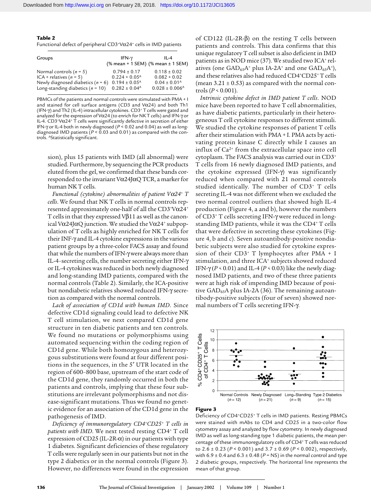**Table 2**

Functional defect of peripheral CD3+Vα24+ cells in IMD patients

| Groups                                                                        | IFN- $\gamma$                                              | $II - 4$<br>(% mean + 1 SEM) (% mean ± 1 SEM)                |
|-------------------------------------------------------------------------------|------------------------------------------------------------|--------------------------------------------------------------|
| Normal controls ( $n = 5$ )                                                   | $0.794 \pm 0.17$                                           | $0.118 \pm 0.02$                                             |
| ICA + relatives $(n = 5)$                                                     | $0.224 + 0.05A$                                            | $0.082 + 0.02$                                               |
| Newly diagnosed diabetics ( $n = 6$ )<br>Long-standing diabetics ( $n = 10$ ) | $0.194 \pm 0.05^{\text{A}}$<br>$0.282 \pm 0.04^{\text{A}}$ | $0.04 \pm 0.01^{\text{A}}$<br>$0.028 \pm 0.006$ <sup>A</sup> |

PBMCs of the patients and normal controls were stimulated with PMA + I and stained for cell surface antigens (CD3 and Vα24) and both Th1 (IFN-γ) and Th2 (IL-4) intracellular cytokines. CD3+ T cells were gated and analyzed for the expression of Vα24 (to enrich for NK T cells) and IFN-γ or IL-4. CD3+Vα24+ T cells were significantly defective in secretion of either IFN-γ or IL-4 both in newly diagnosed (*P* < 0.02 and 0.04) as well as longdiagnosed IMD patients  $(P < 0.03$  and 0.01) as compared with the controls. AStatistically significant.

sion), plus 15 patients with IMD (all abnormal) were studied. Furthermore, by sequencing the PCR products eluted from the gel, we confirmed that these bands corresponded to the invariant Vα24JαQ TCR, a marker for human NK T cells.

*Functional (cytokine) abnormalities of patient V*α*24+ T cells*. We found that NK T cells in normal controls represented approximately one-half of all the CD3*<sup>+</sup>*Vα24*<sup>+</sup>* T cells in that they expressed Vβ11 as well as the canonical Vα24JαQ junction. We studied the Vα24*<sup>+</sup>* subpopulation of T cells as highly enriched for NK T cells for their INF-γ and IL-4 cytokine expressions in the various patient groups by a three-color FACS assay and found that while the numbers of IFN-γ were always more than IL-4–secreting cells, the number secreting either IFN-γ or IL-4 cytokines was reduced in both newly diagnosed and long-standing IMD patients, compared with the normal controls (Table 2). Similarly, the ICA-positive but nondiabetic relatives showed reduced IFN-γ secretion as compared with the normal controls.

*Lack of association of CD1d with human IMD*. Since defective CD1d signaling could lead to defective NK T cell stimulation, we next compared CD1d gene structure in ten diabetic patients and ten controls. We found no mutations or polymorphisms using automated sequencing within the coding region of CD1d gene. While both homozygous and heterozygous substitutions were found at four different positions in the sequences, in the 5′ UTR located in the region of 600–800 base, upstream of the start code of the CD1d gene, they randomly occurred in both the patients and controls, implying that these four substitutions are irrelevant polymorphisms and not disease-significant mutations. Thus we found no genetic evidence for an association of the CD1d gene in the pathogenesis of IMD.

*Deficiency of immunoregulatory CD4+CD25+ T cells in patients with IMD*. We next tested resting CD4*<sup>+</sup>* T cell expression of CD25 (IL-2R- $\alpha$ ) in our patients with type 1 diabetes. Significant deficiencies of these regulatory T cells were regularly seen in our patients but not in the type 2 diabetics or in the normal controls (Figure 3). However, no differences were found in the expression

of CD122 (IL-2R-β) on the resting T cells between patients and controls. This data confirms that this unique regulatory T cell subset is also deficient in IMD patients as in NOD mice (37). We studied two ICA*<sup>+</sup>* relatives (one GAD65A*<sup>+</sup>* plus IA-2A*<sup>+</sup>* and one GAD65A*<sup>+</sup>*), and these relatives also had reduced CD4*<sup>+</sup>*CD25*<sup>+</sup>* T cells (mean  $3.21 \pm 0.53$ ) as compared with the normal controls (*P* < 0.001).

*Intrinsic cytokine defect in IMD patient T cells*. NOD mice have been reported to have T cell abnormalities, as have diabetic patients, particularly in their heterogeneous T cell cytokine responses to different stimuli. We studied the cytokine responses of patient T cells after their stimulation with PMA *+* I. PMA acts by activating protein kinase C directly while I causes an influx of  $Ca<sup>2+</sup>$  from the extracellular space into cell cytoplasm. The FACS analysis was carried out in CD3+ T cells from 16 newly diagnosed IMD patients, and the cytokine expressed (IFN-γ) was significantly reduced when compared with 21 normal controls studied identically. The number of CD3+ T cells secreting IL-4 was not different when we excluded the two normal control outliers that showed high IL-4 production (Figure 4, a and b), however the numbers of CD3+ T cells secreting IFN-γ were reduced in longstanding IMD patients, while it was the CD4*<sup>+</sup>* T cells that were defective in secreting these cytokines (Figure 4, b and c). Seven autoantibody-positive nondiabetic subjects were also studied for cytokine expression of their CD3*<sup>+</sup>* T lymphocytes after PMA + I stimulation, and three ICA<sup>+</sup> subjects showed reduced IFN-γ (*P* < 0.01) and IL-4 (*P* < 0.03) like the newly diagnosed IMD patients, and two of these three patients were at high risk of impending IMD because of positive  $GAD_{65}A$  plus IA-2A (36). The remaining autoantibody-positive subjects (four of seven) showed normal numbers of T cells secreting IFN-γ.



#### **Figure 3**

Deficiency of CD4+CD25+ T cells in IMD patients. Resting PBMCs were stained with mAbs to CD4 and CD25 in a two-color flow cytometry assay and analyzed by flow cytometry. In newly diagnosed IMD as well as long-standing type 1 diabetic patients, the mean percentage of these immunoregulatory cells of CD4+ T cells was reduced to 2.6 ± 0.23 (*P* < 0.001) and 3.7 ± 0.69 (*P* < 0.002), respectively, with  $6.9 \pm 0.4$  and  $6.3 \pm 0.48$  ( $P =$  NS) in the normal control and type 2 diabetic groups, respectively. The horizontal line represents the mean of that group.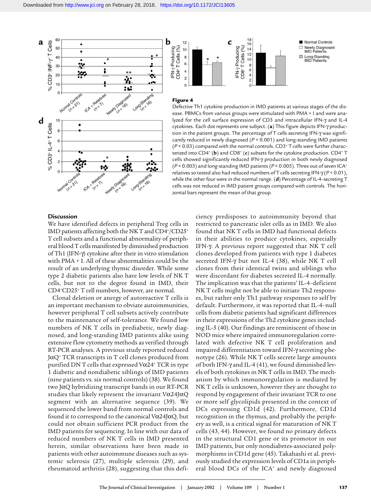



#### **Figure 4**

Defective Th1 cytokine production in IMD patients at various stages of the disease. PBMCs from various groups were stimulated with PMA + I and were analyzed for the cell surface expression of CD3 and intracellular IFN-γ and IL-4 cytokines. Each dot represents one subject. (**a**) This figure depicts IFN-γ production in the patient groups. The percentage of T cells secreting IFN-γ was significantly reduced in newly diagnosed (*P* < 0.001) and long-standing IMD patients  $(P < 0.03)$  compared with the normal controls.  $CD3^+$ T cells were further characterized into CD4+ (**b**) and CD8+ (**c**) subsets for the cytokine production. CD4+ T cells showed significantly reduced IFN-γ production in both newly diagnosed (*P* < 0.003) and long-standing IMD patients (*P* < 0.005). Three out of seven ICA+ relatives so tested also had reduced numbers of T cells secreting IFN-γ (*P* < 0.01), while the other four were in the normal range. (**d**) Percentage of IL-4–secreting T cells was not reduced in IMD patient groups compared with controls. The horizontal bars represent the mean of that group.

## **Discussion**

We have identified defects in peripheral Treg cells in IMD patients affecting both the NK T and CD4*<sup>+</sup>*/CD25*<sup>+</sup>* T cell subsets and a functional abnormality of peripheral blood T cells manifested by diminished production of Th1 (IFN-γ) cytokine after their in vitro stimulation with PMA + I. All of these abnormalities could be the result of an underlying thymic disorder. While some type 2 diabetic patients also have low levels of NK T cells, but not to the degree found in IMD, their CD4*<sup>+</sup>*CD25*<sup>+</sup>* T cell numbers, however, are normal.

Clonal deletion or anergy of autoreactive T cells is an important mechanism to obviate autoimmunities, however peripheral T cell subsets actively contribute to the maintenance of self-tolerance. We found low numbers of NK T cells in prediabetic, newly diagnosed, and long-standing IMD patients alike using extensive flow cytometry methods as verified through RT-PCR analyses. A previous study reported reduced JαQ*<sup>+</sup>* TCR transcripts in T cell clones produced from purified DN T cells that expressed Vα24*<sup>+</sup>* TCR in type 1 diabetic and nondiabetic siblings of IMD patients (nine patients vs. six normal controls) (38). We found two JαQ hybridizing transcript bands in our RT-PCR studies that likely represent the invariant V $\alpha$ 24J $\alpha$ Q segment with an alternative sequence (39). We sequenced the lower band from normal controls and found it to correspond to the canonical Vα24JαQ, but could not obtain sufficient PCR product from the IMD patients for sequencing. In line with our data of reduced numbers of NK T cells in IMD presented herein, similar observations have been made in patients with other autoimmune diseases such as systemic sclerosis (27), multiple sclerosis (29), and rheumatoid arthritis (28), suggesting that this deficiency predisposes to autoimmunity beyond that restricted to pancreatic islet cells as in IMD. We also found that NK T cells in IMD had functional defects in their abilities to produce cytokines, especially IFN-γ. A previous report suggested that NK T cell clones developed from patients with type 1 diabetes secreted IFN-γ but not IL-4 (38), while NK T cell clones from their identical twins and siblings who were discordant for diabetes secreted IL-4 normally. The implication was that the patients' IL-4–deficient NK T cells might not be able to initiate Th2 responses, but rather only Th1 pathway responses to self by default. Furthermore, it was reported that IL-4–null cells from diabetic patients had significant differences in their expressions of the Th2 cytokine genes including IL-5 (40). Our findings are reminiscent of those in NOD mice where impaired immunoregulation correlated with defective NK T cell proliferation and impaired differentiation toward IFN-γ secreting phenotype (26). While NK T cells secrete large amounts of both IFN-γ and IL-4 (41), we found diminished levels of both cytokines in NK T cells in IMD. The mechanism by which immunoregulation is mediated by NK T cells is unknown, however they are thought to respond by engagement of their invariant TCR to one or more self glycolipids presented in the context of DCs expressing CD1d (42). Furthermore, CD1d recognition in the thymus, and probably the periphery as well, is a critical signal for maturation of NK T cells (43, 44). However, we found no primary defects in the structural CD1 gene or its promotor in our IMD patients, but only nondiabetes-associated polymorphisms in CD1d gene (45). Takahashi et al. previously studied the expression levels of CD1a in peripheral blood DCs of the ICA*<sup>+</sup>* and newly diagnosed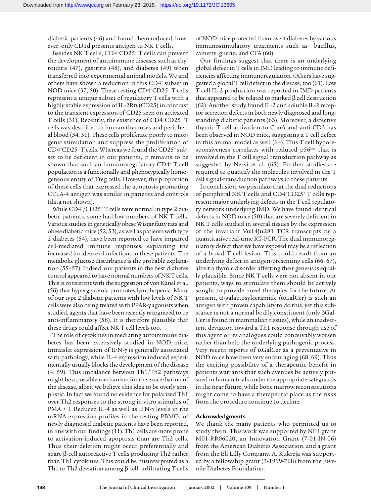diabetic patients (46) and found them reduced; however, only CD1d presents antigen to NK T cells.

Besides NK T cells, CD4*<sup>+</sup>*CD25*<sup>+</sup>* T cells can prevent the development of autoimmune diseases such as thyroiditis (47), gastritis (48), and diabetes (49) when transferred into experimental animal models. We and others have shown a reduction in this CD4*<sup>+</sup>* subset in NOD mice (37, 50). These resting CD4*<sup>+</sup>*CD25*<sup>+</sup>* T cells represent a unique subset of regulatory T cells with a highly stable expression of IL-2Rα (CD25) in contrast to the transient expression of CD25 seen on activated T cells (31). Recently, the existence of CD4*<sup>+</sup>*CD25*<sup>+</sup>* T cells was described in human thymuses and peripheral blood (34, 51). These cells proliferate poorly to mitogenic stimulation and suppress the proliferation of CD4*<sup>+</sup>*CD25– T cells. Whereas we found the CD25*<sup>+</sup>* subset to be deficient in our patients, it remains to be shown that such an immunoregulatory CD4*<sup>+</sup>* T cell population is a functionally and phenotypically homogeneous entity of Treg cells. However, the proportion of these cells that expressed the apoptosis promoting CTLA-4 antigen was similar in patients and controls (data not shown).

While CD4*<sup>+</sup>*/CD25*<sup>+</sup>* T cells were normal in type 2 diabetic patients, some had low numbers of NK T cells. Various studies in genetically obese Wistar fatty rats and obese diabetic mice (52, 53), as well as patients with type 2 diabetes (54), have been reported to have impaired cell-mediated immune responses, explaining the increased incidence of infections in these patients. The metabolic glucose disturbance is the probable explanation (55–57). Indeed, our patients in the best diabetes control appeared to have normal numbers of NK T cells. This is consistent with the suggestion of von Kanel et al. (56) that hyperglycemia promotes lymphopenia. Many of our type 2 diabetic patients with low levels of NK T cells were also being treated with PPAR-γ agonists when studied, agents that have been recently recognized to be anti-inflammatory (58). It is therefore plausible that these drugs could affect NK T cell levels too.

The role of cytokines in mediating autoimmune diabetes has been extensively studied in NOD mice. Intraislet expression of IFN-γ is generally associated with pathology, while IL-4 expression induced experimentally usually blocks the development of the disease (4, 59). This imbalance between Th1/Th2 pathways might be a possible mechanism for the exacerbation of the disease, albeit we believe this idea to be overly simplistic. In fact we found no evidence for polarized Th1 over Th2 responses to the strong in vitro stimulus of PMA + I. Reduced IL-4 as well as IFN-γ levels in the mRNA expression profiles in the resting PBMCs of newly diagnosed diabetic patients have been reported, in line with our findings (11). Th1 cells are more prone to activation-induced apoptosis than are Th2 cells. Thus their deletion might occur preferentially and spare β-cell autoreactive T cells producing Th2 rather than Th1 cytokines. This could be misinterpreted as a Th1 to Th2 deviation among β cell–infiltrating T cells

of NOD mice protected from overt diabetes by various immunostimulatory treatments such as bacillus, camette, guerin, and CFA (60).

Our findings suggest that there is an underlying global defect in T cells in IMD leading to immune deficiencies affecting immunoregulation. Others have suggested a global T cell defect in the disease, too (61). Low T cell IL-2 production was reported in IMD patients that appeared to be related to marked  $β$  cell destruction (62). Another study found IL-2 and soluble IL-2 receptor secretion defects in both newly diagnosed and longstanding diabetic patients (63). Moreover, a defective thymic T cell activation to ConA and anti-CD3 has been observed in NOD mice, suggesting a T cell defect in this animal model as well (64). This T cell hyporesponsiveness correlates with reduced p56<sup>lck</sup> that is involved in the T cell signal transduction pathway as suggested by Nervi et al. (65). Further studies are required to quantify the molecules involved in the T cell signal-transduction pathways in these patients.

In conclusion, we postulate that the dual reductions of peripheral NK T cells and CD4+CD25+ T cells represent major underlying defects in the T cell regulatory network underlying IMD. We have found identical defects in NOD mice (50) that are severely deficient in NK T cells studied in several tissues by the expression of the invariant V $\alpha$ 14J $\alpha$ 281 TCR transcripts by a quantitative real-time RT-PCR. The dual immunoregulatory defect that we have exposed may be a reflection of a broad T cell lesion. This could result from an underlying defect in antigen-presenting cells (66, 67), albeit a thymic disorder affecting their genesis is equally plausible. Since NK T cells were not absent in our patients, ways to stimulate them should be actively sought to provide novel therapies for the future. At present, α-galactosylceramide (αGalCer) is such an antigen with proven capability to do this, yet this substance is not a normal bodily constituent (only βGal-Cer is found in mammalian tissues), while an inadvertent deviation toward a Th1 response through use of this agent or its analogues could conceivably worsen rather than help the underlying pathogenic process. Very recent reports of αGalCer as a preventative in NOD mice have been very encouraging (68, 69). Thus the exciting possibility of a therapeutic benefit in patients warrants that such avenues be actively pursued in human trials under the appropriate safeguards in the near future, while bone marrow reconstitutions might come to have a therapeutic place as the risks from the procedure continue to decline.

### **Acknowledgments**

We thank the many patients who permitted us to study them. This work was supported by NIH grant M01-RR06020, an Innovation Grant (7-01-IN-06) from the American Diabetes Association, and a grant from the Eli Lilly Company. A. Kukreja was supported by a fellowship grant (3-1999-768) from the Juvenile Diabetes Foundation.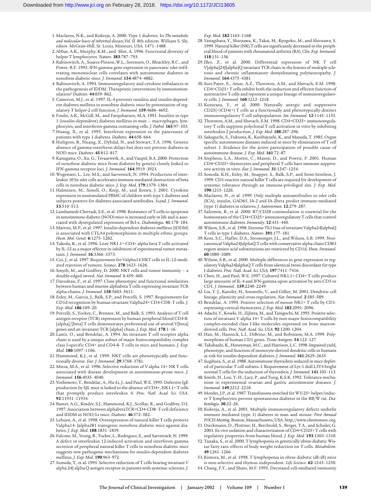- 1. Maclaren, N.K., and Kukreja, A. 2000. Type 1 diabetes. In *The metabolic and molecular bases of inherited disease,Vol. II.* 8th edition. William S. Sly, editor. McGraw-Hill. St. Louis, Missouri, USA. 1471–1488.
- 2. Abbas, A.K., Murphy, K.M., and Sher, A. 1996. Functional diversity of helper T lymphocytes. *Nature*. **383**:787–793.
- 3. Rabinovitch, A., Suarez-Pinzon, W.L., Sorensen, O., Bleackley, R.C., and Power, R.F. 1995. IFN-gamma gene expression in pancreatic islet-infiltrating mononuclear cells correlates with autoimmune diabetes in nonobese diabetic mice. *J. Immunol*. **154**:4874–4882.
- 4. Rabinovitch, A. 1994. Immunoregulatory and cytokine imbalances in the pathogenesis of IDDM. Therapeutic intervention by immunostimulation? *Diabetes*. **44**:859–862.
- 5. Cameron, M.J., et al. 1997. IL-4 prevents insulitis and insulin-dependent diabetes mellitus in nonobese diabetic mice by potentiation of regulatory T helper-2 cell function. *J. Immunol.* **159**:4686–4692.
- 6. Foulis, A.K., McGill, M., and Farquharson, M.A. 1991. Insulitis in type 1 (insulin-dependent) diabetes mellitus in man — macrophages, lymphocytes, and interferon-gamma containing cells. *J. Pathol.* **165**:97–103.
- 7. Huang, X., et al. 1995. Interferon expression in the pancreases of patients with type 1 diabetes. *Diabetes*. **44**:658–664.
- 8. Hultgren, B., Huang, X., Dybdal, N., and Stewart, T.A. 1996. Genetic absence of gamma-interferon delays but does not prevent diabetes in NOD mice. *Diabetes*. **45**:812–817.
- 9. Kanagawa, O., Xu, G., Tevaarwerk, A., and Vaupel, B.A. 2000. Protection of nonobese diabetic mice from diabetes by gene(s) closely linked to IFN-gamma receptor loci. *J. Immunol.* **164**:3919–3923.
- 10. Wogensen, L., Lee, M.S., and Sarvetnick, N. 1994. Production of interleukin 10 by islet cells accelerates immune-mediated destruction of beta cells in nonobese diabetic mice. *J. Exp. Med.* **179**:1379–1384.
- 11. Halminen, M., Simell, O., Knip, M., and Ilonen, J. 2001. Cytokine expression in unstimulated PBMC of children with type 1 diabetes and subjects positive for diabetes-associated antibodies. *Scand. J. Immunol.* **53**:510–513.
- 12. Lamhamedi-Cherradi, S.E., et al. 1998. Resistance of T-cells to apoptosis in autoimmune diabetic (NOD) mice is increased early in life and is associated with dysregulated expression of Bcl-x. *Diabetologia*. **41**:178–184.
- 13. Marron, M.P., et al. 1997. Insulin-dependent diabetes mellitus (IDDM) is associated with CTLA4 polymorphisms in multiple ethnic groups. *Hum. Mol. Genet*. **6**:1275–1282.
- 14. Takeda, K., et al. 1996. Liver NK1.1+ CD4+ alpha beta T cells activated by IL-12 as a major effector in inhibition of experimental tumor metastasis. *J. Immunol*. **16**:3366–3373.
- 15. Cui, J., et al. 1997. Requirement for Valpha14 NKT cells in IL-12-mediated rejection of tumors. *Science*. **278**:1623–1626.
- 16. Smyth, M., and Godfrey, D. 2000. NKT cells and tumor immunity a double-edged sword. *Nat. Immunol*. **1**:459–460.
- 17. Davodeau, F., et al. 1997. Close phenotypic and functional similarities between human and murine alphabeta T cells expressing invariant TCR alpha-chains. *J. Immunol*. **158**:5603–5611.
- 18. Exley, M., Garcia, J., Balk, S.P., and Porcelli, S. 1997. Requirements for CD1d recognition by human invariant Valpha24+ CD4-CD8- T cells. *J. Exp. Med*. **186**:109–20.
- 19. Porcelli, S., Yockey, C., Brenner, M., and Balk, S. 1993. Analysis of T cell antigen receptor (TCR) expression by human peripheral blood CD4-8- [alpha]/[beta] T cells demonstrates preferential use of several V[beta] genes and an invariant TCR [alpha] chain. *J. Exp. Med*. **178**:1–16.
- 20. Lantz, O., and Bendelac, A. 1994. An invariant T cell receptor alpha chain is used by a unique subset of major histocompatibility complex class I-specific CD4+ and CD4-8- T cells in mice and humans. *J. Exp. Med*. **180**:1097–1106.
- 21. Hammond, K.J., et al. 1999. NKT cells are phenotypically and functionally diverse. *Eur. J. Immunol*. **29**:3768–3781.
- 22. Mieza, M.A., et al. 1996. Selective reduction of V alpha 14+ NK T cells associated with disease development in autoimmune-prone mice. *J. Immunol*. **156**:4035–4040.
- 23. Yoshimoto, T., Bendelac, A., Hu-Li, J., and Paul, W.E. 1995. Defective IgE production by SJL mice is linked to the absence of CD4+, NK1.1+ T cells that promptly produce interleukin 4. *Proc. Natl. Acad. Sci. USA*. **92**:11931–11934.
- 24. Baxter, A.G., Kinder, S.J., Hammond, K.J., Scollay, R., and Godfrey, D.I. 1997. Association between alphabetaTCR+CD4-CD8- T-cell deficiency and IDDM in NOD/Lt mice. *Diabetes*. **46**:572–582.
- 25. Lehuen, A., et al. 1998. Overexpression of natural killer T cells protects Valpha14- Jalpha281 transgenic nonobese diabetic mice against diabetes. *J. Exp. Med*. **188**:1831–1839.
- 26. Falcone, M., Yeung, B., Tucker, L., Rodriguez, E., and Sarvetnick, N. 1999. A defect in interleukin 12-induced activation and interferon gamma secretion of peripheral natural killer T cells in nonobese diabetic mice suggests new pathogenic mechanisms for insulin-dependent diabetes mellitus. *J. Exp. Med*. **190**:963–972.
- 27. Sumida, T., et al. 1995. Selective reduction of T cells bearing invariant V alpha 24J alpha Q antigen receptor in patients with systemic sclerosis. *J.*

*Exp. Med*. **182**:1163–1168.

- 28. Yanagihara, Y., Shiozawa, K., Takai, M., Kyogoku, M., and Shiozawa, S. 1999. Natural killer (NK) T cells are significantly decreased in the peripheral blood of patients with rheumatoid arthritis (RA). *Clin. Exp. Immunol*. **118**:131–136.
- 29. Illes, Z., et al. 2000. Differential expression of NK T cell V[alpha]24J[alpha]Q invariant TCR chain in the lesions of multiple sclerosis and chronic inflammatory demyelinating polyneuropathy. *J. Immunol*. **164**:4375–4381.
- 30. Suri-Payer, E., Amar, A.Z., Thornton, A.M., and Shevach, E.M. 1998. CD4+CD25+ T cells inhibit both the induction and effector function of autoreactive T cells and represent a unique lineage of immunoregulatory cells. *J. Immunol*. **160**:1212–1218.
- 31. Kuniyasu, Y., et al. 2000. Naturally anergic and suppressive CD25(+)CD4(+) T cells as a functionally and phenotypically distinct immunoregulatory T cell subpopulation. *Int. Immunol*. **12**:1145–1155.
- 32. Thornton, A.M., and Shevach, E.M. 1998. CD4+CD25+ immunoregulatory T cells suppress polyclonal T cell activation in vitro by inhibiting interleukin 2 production. *J. Exp. Med*. **188**:287–296.
- 33. Sakaguchi, S., Fukuma, K., Kuribayashi, K., and Masuda, T. 1985. Organ specific autoimmune diseases induced in mice by elimination of T cell subset. I. Evidence for the active participation of possible cause of autoimmune disease. *J. Exp. Med*. **161**:72–87.
- 34. Stephens, L.A., Mottet, C., Mason, D., and Powrie, F. 2001. Human CD4+CD25+ thymocytes and peripheral T cells have immune suppressive activity in vitro. *Eur. J. Immunol.* **31**:1247–1254.
- 35. Sonoda, K.H., Exley, M., Snapper, S., Balk, S.P., and Stein-Streilein, J. 1999. CD1-reactive natural killer T cells are required for development of systemic tolerance through an immune-privileged site. *J. Exp. Med*. **190**:1215–1226.
- 36. Maclaren, N., et al. 1999. Only multiple autoantibodies to islet cells (ICA), insulin, GAD65, IA-2 and IA-2beta predict immune-mediated (type 1) diabetes in relatives. *J. Autoimmun*. **12**:279–287.
- 37. Salomon, B., et al. 2000. B7/CD28 costimulation is essential for the homeostasis of the CD4+CD25+ immunoregulatory T cells that control autoimmune diabetes. *Immunity*. **12**:431–440.
- 38. Wilson, S.B., et al. 1998. Extreme Th1 bias of invariant Valpha24JalphaQ T cells in type 1 diabetes. *Nature*. **391**:177–181.
- 39. Kent, S.C., Hafler, D.A., Strominger, J.L., and Wilson, S.B. 1999. Noncanonical Valpha24JalphaQ T cells with conservative alpha chain CDR3 region amino acid substitutions are restricted by CD1d. *Hum. Immunol*. **60**:1080–1089.
- 40. Wilson, S.B., et al. 2000. Multiple differences in gene expression in regulatory Valpha24JalphaQ T cells from identical twins discordant for type I diabetes. *Proc. Natl. Acad. Sci. USA*. **197**:7411–7416.
- 41. Chen, H., and Paul, W.E. 1997. Cultured NK1.1+ CD4+ T cells produce large amounts of IL-4 and IFN-gamma upon activation by anti-CD3 or CD1. *J. Immunol.*. **159**:2240–2249.
- 42. Liu, Y.-J., Kanzler, H., Soumelis, V., and Gilliet, M. 2001. Dendritic cell lineage, plasticity and cross-regulation. *Nat. Immunol*. **2**:585–589.
- 43. Bendelac, A. 1995. Positive selection of mouse NK1+ T cells by CD1 expressing cortical thymocytes. *J. Exp. Med.* **182**:2091–2096.
- 44. Adachi, Y., Koseki, H., Zijlstra, M., and Taniguchi, M. 1995. Positive selection of invariant V alpha 14+ T cells by non-major histocompatibility complex-encoded class I-like molecules expressed on bone marrowderived cells. *Proc. Natl. Acad. Sci. USA*. **92**:1200–1204.
- 45. Han, M., Hannick, L.I., DiBrino, M., and Robinson, M.A. 1999. Polymorphism of human CD1 genes. *Tissue Antigens*. **54**:122–127.
- 46. Takahashi, K., Honeyman, M.C., and Harrison, L.C. 1998. Impaired yield, phenotype, and function of monocyte-derived dendritic cells in humans at risk for insulin-dependent diabetes. *J. Immunol*. **161**:2629–2635.
- 47. Sugihara, S., et al. 1988. Autoimmune thyroiditis induced in mice depleted of particular T cell subsets. I. Requirement of Lyt-1 dull L3T4 bright normal T cells for the induction of thyroiditis. *J. Immunol*. **141**:105–113.
- 48. Smith, H., Lou, Y.-H., Lacy, P., and Tung, K.S.K. 1992. Tolerance mechanism in experimental ovarian and gastric autoimmune diseases. *J. Immunol*. **149**:2212–2218.
- 49. Mordes, J.P., et al. 1987. Transfusions enriched for W3/25+ helper/inducer T lymphocytes prevent spontaneous diabetes in the BB/W rat. *Diabetologia*. **30**:22–26.
- 50. Kukreja, A., et al. 2001. Multiple immunoregulatory defects underlie immune mediated (type 1) diabetes in man and mouse. *First Annual FOCIS Meeting*. Boston, Massachusetts, USA. http://www.clinimmsoc.org.
- 51. Dieckmann, D., Plottner, H., Berchtold, S., Berger, T.A., and Schuler, G. 2001. Ex vivo isolation and characterization of CD4+CD25+ T cells with regulatory properties from human blood. *J. Exp. Med.* **193**:1303–1310.
- 52. Tanaka, S., et al. 2000. T lymphopenia in genetically obese-diabetic Wistar fatty rats: effects of body weight reduction on T cells. *Metabolism*. **49**:1261–1266.
- 53. Kimura, M., et al. 1998. T lymphopenia in obese diabetic (*db/db*) mice is non-selective and thymus independent. *Life Science*. **62**:1243–1250.
- 54. Chang, F.Y., and Shaio, M.F. 1995. Decreased cell-mediated immunity